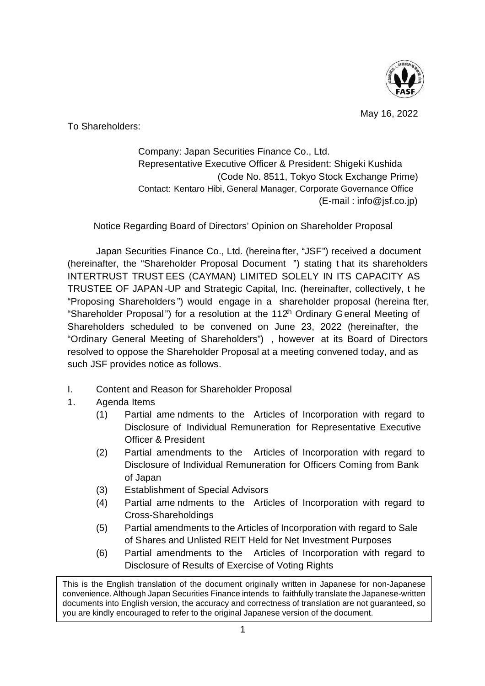

May 16, 2022

To Shareholders:

Company: Japan Securities Finance Co., Ltd. Representative Executive Officer & President: Shigeki Kushida (Code No. 8511, Tokyo Stock Exchange Prime) Contact: Kentaro Hibi, General Manager, Corporate Governance Office (E-mail : [info@jsf.co.jp\)](mailto:info@jsf.co.jp)

Notice Regarding Board of Directors' Opinion on Shareholder Proposal

Japan Securities Finance Co., Ltd. (hereina fter, "JSF") received a document (hereinafter, the "Shareholder Proposal Document ") stating t hat its shareholders INTERTRUST TRUST EES (CAYMAN) LIMITED SOLELY IN ITS CAPACITY AS TRUSTEE OF JAPAN -UP and Strategic Capital, Inc. (hereinafter, collectively, t he "Proposing Shareholders ") would engage in a shareholder proposal (hereina fter, "Shareholder Proposal") for a resolution at the 112<sup>th</sup> Ordinary General Meeting of Shareholders scheduled to be convened on June 23, 2022 (hereinafter, the "Ordinary General Meeting of Shareholders") , however at its Board of Directors resolved to oppose the Shareholder Proposal at a meeting convened today, and as such JSF provides notice as follows.

- I. Content and Reason for Shareholder Proposal
- 1. Agenda Items
	- (1) Partial ame ndments to the Articles of Incorporation with regard to Disclosure of Individual Remuneration for Representative Executive Officer & President
	- (2) Partial amendments to the Articles of Incorporation with regard to Disclosure of Individual Remuneration for Officers Coming from Bank of Japan
	- (3) Establishment of Special Advisors
	- (4) Partial ame ndments to the Articles of Incorporation with regard to Cross-Shareholdings
	- (5) Partial amendments to the Articles of Incorporation with regard to Sale of Shares and Unlisted REIT Held for Net Investment Purposes
	- (6) Partial amendments to the Articles of Incorporation with regard to Disclosure of Results of Exercise of Voting Rights

This is the English translation of the document originally written in Japanese for non-Japanese convenience. Although Japan Securities Finance intends to faithfully translate the Japanese-written documents into English version, the accuracy and correctness of translation are not guaranteed, so you are kindly encouraged to refer to the original Japanese version of the document.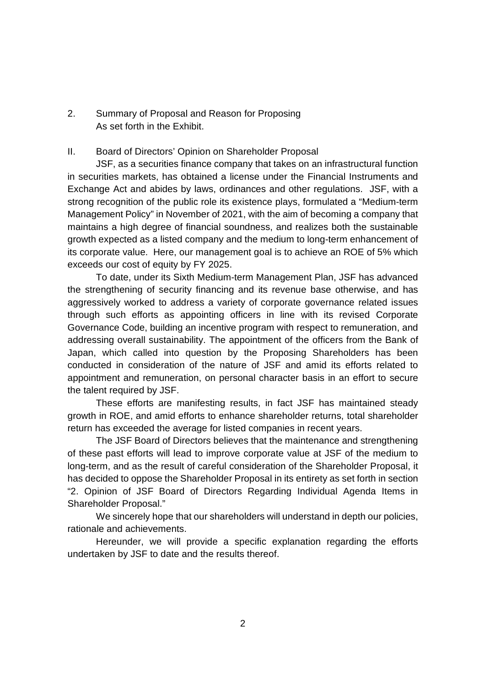2. Summary of Proposal and Reason for Proposing As set forth in the Exhibit.

### II. Board of Directors' Opinion on Shareholder Proposal

JSF, as a securities finance company that takes on an infrastructural function in securities markets, has obtained a license under the Financial Instruments and Exchange Act and abides by laws, ordinances and other regulations. JSF, with a strong recognition of the public role its existence plays, formulated a "Medium-term Management Policy" in November of 2021, with the aim of becoming a company that maintains a high degree of financial soundness, and realizes both the sustainable growth expected as a listed company and the medium to long-term enhancement of its corporate value. Here, our management goal is to achieve an ROE of 5% which exceeds our cost of equity by FY 2025.

To date, under its Sixth Medium-term Management Plan, JSF has advanced the strengthening of security financing and its revenue base otherwise, and has aggressively worked to address a variety of corporate governance related issues through such efforts as appointing officers in line with its revised Corporate Governance Code, building an incentive program with respect to remuneration, and addressing overall sustainability. The appointment of the officers from the Bank of Japan, which called into question by the Proposing Shareholders has been conducted in consideration of the nature of JSF and amid its efforts related to appointment and remuneration, on personal character basis in an effort to secure the talent required by JSF.

These efforts are manifesting results, in fact JSF has maintained steady growth in ROE, and amid efforts to enhance shareholder returns, total shareholder return has exceeded the average for listed companies in recent years.

The JSF Board of Directors believes that the maintenance and strengthening of these past efforts will lead to improve corporate value at JSF of the medium to long-term, and as the result of careful consideration of the Shareholder Proposal, it has decided to oppose the Shareholder Proposal in its entirety as set forth in section "2. Opinion of JSF Board of Directors Regarding Individual Agenda Items in Shareholder Proposal."

We sincerely hope that our shareholders will understand in depth our policies, rationale and achievements.

Hereunder, we will provide a specific explanation regarding the efforts undertaken by JSF to date and the results thereof.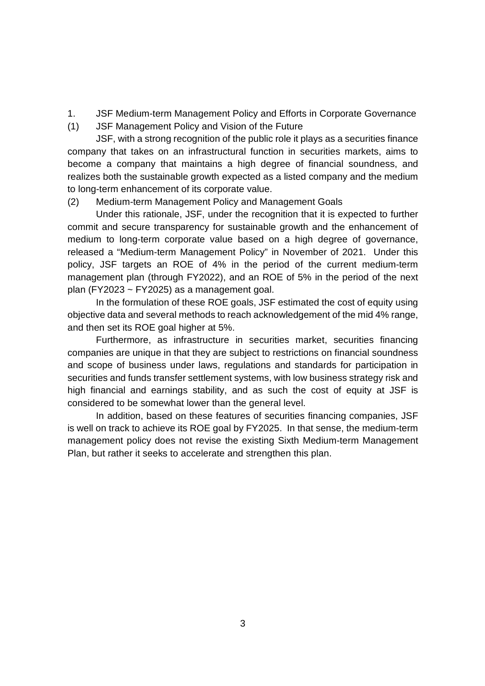- 1. JSF Medium-term Management Policy and Efforts in Corporate Governance
- (1) JSF Management Policy and Vision of the Future

JSF, with a strong recognition of the public role it plays as a securities finance company that takes on an infrastructural function in securities markets, aims to become a company that maintains a high degree of financial soundness, and realizes both the sustainable growth expected as a listed company and the medium to long-term enhancement of its corporate value.

(2) Medium-term Management Policy and Management Goals

Under this rationale, JSF, under the recognition that it is expected to further commit and secure transparency for sustainable growth and the enhancement of medium to long-term corporate value based on a high degree of governance, released a "Medium-term Management Policy" in November of 2021. Under this policy, JSF targets an ROE of 4% in the period of the current medium-term management plan (through FY2022), and an ROE of 5% in the period of the next plan (FY2023 ~ FY2025) as a management goal.

In the formulation of these ROE goals, JSF estimated the cost of equity using objective data and several methods to reach acknowledgement of the mid 4% range, and then set its ROE goal higher at 5%.

Furthermore, as infrastructure in securities market, securities financing companies are unique in that they are subject to restrictions on financial soundness and scope of business under laws, regulations and standards for participation in securities and funds transfer settlement systems, with low business strategy risk and high financial and earnings stability, and as such the cost of equity at JSF is considered to be somewhat lower than the general level.

In addition, based on these features of securities financing companies, JSF is well on track to achieve its ROE goal by FY2025. In that sense, the medium-term management policy does not revise the existing Sixth Medium-term Management Plan, but rather it seeks to accelerate and strengthen this plan.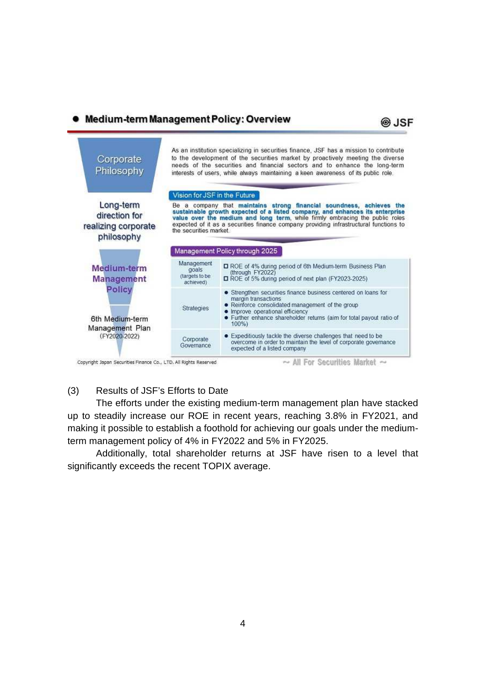# • Medium-term Management Policy: Overview





# (3) Results of JSF's Efforts to Date

The efforts under the existing medium-term management plan have stacked up to steadily increase our ROE in recent years, reaching 3.8% in FY2021, and making it possible to establish a foothold for achieving our goals under the mediumterm management policy of 4% in FY2022 and 5% in FY2025.

Additionally, total shareholder returns at JSF have risen to a level that significantly exceeds the recent TOPIX average.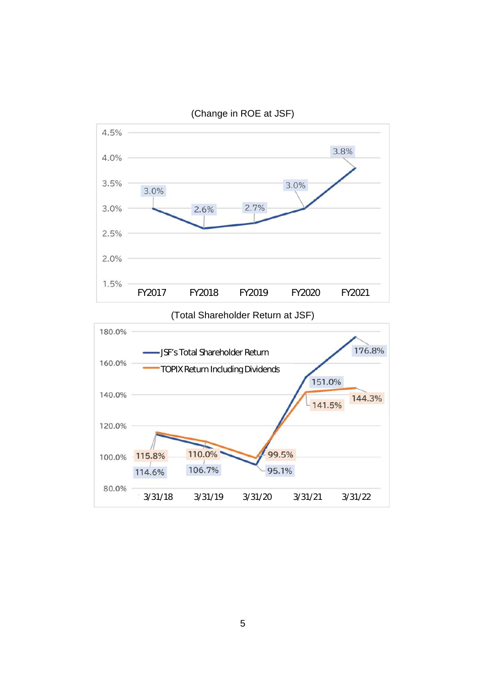

(Change in ROE at JSF)

(Total Shareholder Return at JSF)

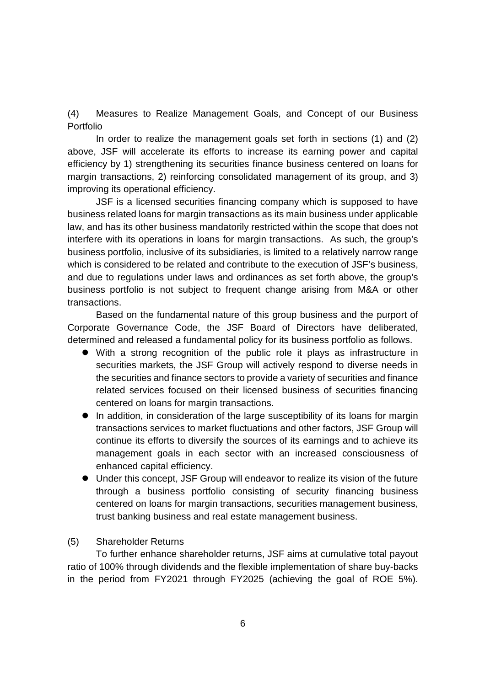(4) Measures to Realize Management Goals, and Concept of our Business Portfolio

In order to realize the management goals set forth in sections (1) and (2) above, JSF will accelerate its efforts to increase its earning power and capital efficiency by 1) strengthening its securities finance business centered on loans for margin transactions, 2) reinforcing consolidated management of its group, and 3) improving its operational efficiency.

JSF is a licensed securities financing company which is supposed to have business related loans for margin transactions as its main business under applicable law, and has its other business mandatorily restricted within the scope that does not interfere with its operations in loans for margin transactions. As such, the group's business portfolio, inclusive of its subsidiaries, is limited to a relatively narrow range which is considered to be related and contribute to the execution of JSF's business, and due to regulations under laws and ordinances as set forth above, the group's business portfolio is not subject to frequent change arising from M&A or other transactions.

Based on the fundamental nature of this group business and the purport of Corporate Governance Code, the JSF Board of Directors have deliberated, determined and released a fundamental policy for its business portfolio as follows.

- With a strong recognition of the public role it plays as infrastructure in securities markets, the JSF Group will actively respond to diverse needs in the securities and finance sectors to provide a variety of securities and finance related services focused on their licensed business of securities financing centered on loans for margin transactions.
- In addition, in consideration of the large susceptibility of its loans for margin transactions services to market fluctuations and other factors, JSF Group will continue its efforts to diversify the sources of its earnings and to achieve its management goals in each sector with an increased consciousness of enhanced capital efficiency.
- Under this concept, JSF Group will endeavor to realize its vision of the future through a business portfolio consisting of security financing business centered on loans for margin transactions, securities management business, trust banking business and real estate management business.

### (5) Shareholder Returns

To further enhance shareholder returns, JSF aims at cumulative total payout ratio of 100% through dividends and the flexible implementation of share buy-backs in the period from FY2021 through FY2025 (achieving the goal of ROE 5%).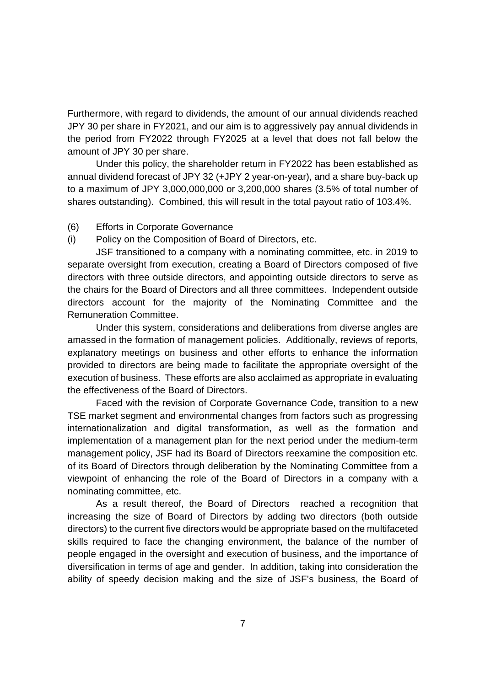Furthermore, with regard to dividends, the amount of our annual dividends reached JPY 30 per share in FY2021, and our aim is to aggressively pay annual dividends in the period from FY2022 through FY2025 at a level that does not fall below the amount of JPY 30 per share.

Under this policy, the shareholder return in FY2022 has been established as annual dividend forecast of JPY 32 (+JPY 2 year-on-year), and a share buy-back up to a maximum of JPY 3,000,000,000 or 3,200,000 shares (3.5% of total number of shares outstanding). Combined, this will result in the total payout ratio of 103.4%.

### (6) Efforts in Corporate Governance

(i) Policy on the Composition of Board of Directors, etc.

JSF transitioned to a company with a nominating committee, etc. in 2019 to separate oversight from execution, creating a Board of Directors composed of five directors with three outside directors, and appointing outside directors to serve as the chairs for the Board of Directors and all three committees. Independent outside directors account for the majority of the Nominating Committee and the Remuneration Committee.

Under this system, considerations and deliberations from diverse angles are amassed in the formation of management policies. Additionally, reviews of reports, explanatory meetings on business and other efforts to enhance the information provided to directors are being made to facilitate the appropriate oversight of the execution of business. These efforts are also acclaimed as appropriate in evaluating the effectiveness of the Board of Directors.

Faced with the revision of Corporate Governance Code, transition to a new TSE market segment and environmental changes from factors such as progressing internationalization and digital transformation, as well as the formation and implementation of a management plan for the next period under the medium-term management policy, JSF had its Board of Directors reexamine the composition etc. of its Board of Directors through deliberation by the Nominating Committee from a viewpoint of enhancing the role of the Board of Directors in a company with a nominating committee, etc.

As a result thereof, the Board of Directors reached a recognition that increasing the size of Board of Directors by adding two directors (both outside directors) to the current five directors would be appropriate based on the multifaceted skills required to face the changing environment, the balance of the number of people engaged in the oversight and execution of business, and the importance of diversification in terms of age and gender. In addition, taking into consideration the ability of speedy decision making and the size of JSF's business, the Board of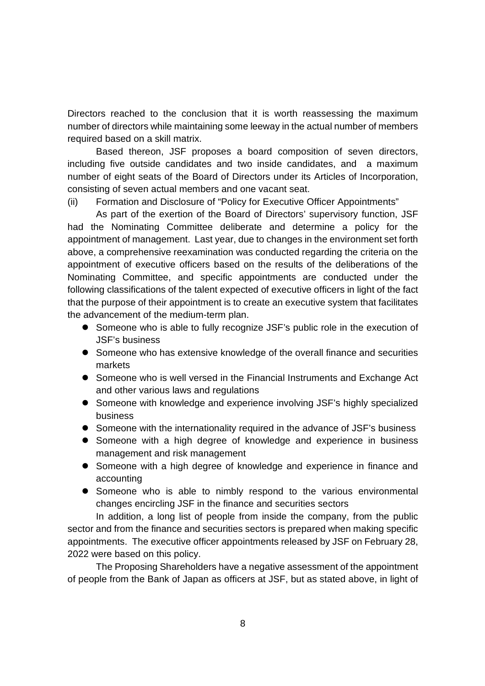Directors reached to the conclusion that it is worth reassessing the maximum number of directors while maintaining some leeway in the actual number of members required based on a skill matrix.

Based thereon, JSF proposes a board composition of seven directors, including five outside candidates and two inside candidates, and a maximum number of eight seats of the Board of Directors under its Articles of Incorporation, consisting of seven actual members and one vacant seat.

(ii) Formation and Disclosure of "Policy for Executive Officer Appointments"

As part of the exertion of the Board of Directors' supervisory function, JSF had the Nominating Committee deliberate and determine a policy for the appointment of management. Last year, due to changes in the environment set forth above, a comprehensive reexamination was conducted regarding the criteria on the appointment of executive officers based on the results of the deliberations of the Nominating Committee, and specific appointments are conducted under the following classifications of the talent expected of executive officers in light of the fact that the purpose of their appointment is to create an executive system that facilitates the advancement of the medium-term plan.

- Someone who is able to fully recognize JSF's public role in the execution of JSF's business
- Someone who has extensive knowledge of the overall finance and securities markets
- Someone who is well versed in the Financial Instruments and Exchange Act and other various laws and regulations
- Someone with knowledge and experience involving JSF's highly specialized business
- Someone with the internationality required in the advance of JSF's business
- Someone with a high degree of knowledge and experience in business management and risk management
- Someone with a high degree of knowledge and experience in finance and accounting
- Someone who is able to nimbly respond to the various environmental changes encircling JSF in the finance and securities sectors

In addition, a long list of people from inside the company, from the public sector and from the finance and securities sectors is prepared when making specific appointments. The executive officer appointments released by JSF on February 28, 2022 were based on this policy.

The Proposing Shareholders have a negative assessment of the appointment of people from the Bank of Japan as officers at JSF, but as stated above, in light of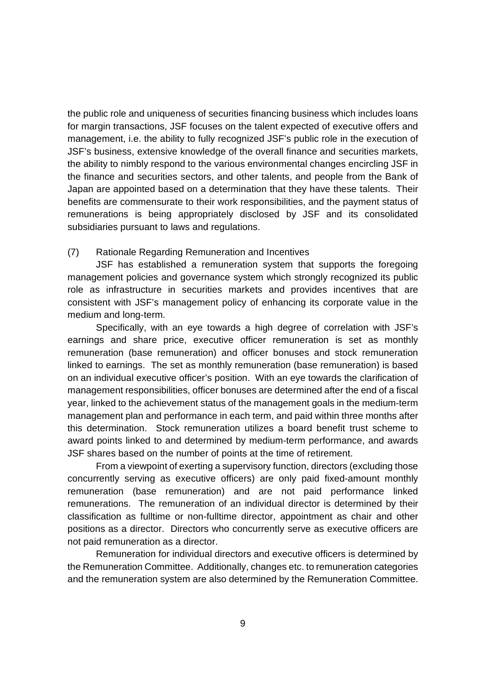the public role and uniqueness of securities financing business which includes loans for margin transactions, JSF focuses on the talent expected of executive offers and management, i.e. the ability to fully recognized JSF's public role in the execution of JSF's business, extensive knowledge of the overall finance and securities markets, the ability to nimbly respond to the various environmental changes encircling JSF in the finance and securities sectors, and other talents, and people from the Bank of Japan are appointed based on a determination that they have these talents. Their benefits are commensurate to their work responsibilities, and the payment status of remunerations is being appropriately disclosed by JSF and its consolidated subsidiaries pursuant to laws and regulations.

## (7) Rationale Regarding Remuneration and Incentives

JSF has established a remuneration system that supports the foregoing management policies and governance system which strongly recognized its public role as infrastructure in securities markets and provides incentives that are consistent with JSF's management policy of enhancing its corporate value in the medium and long-term.

Specifically, with an eye towards a high degree of correlation with JSF's earnings and share price, executive officer remuneration is set as monthly remuneration (base remuneration) and officer bonuses and stock remuneration linked to earnings. The set as monthly remuneration (base remuneration) is based on an individual executive officer's position. With an eye towards the clarification of management responsibilities, officer bonuses are determined after the end of a fiscal year, linked to the achievement status of the management goals in the medium-term management plan and performance in each term, and paid within three months after this determination. Stock remuneration utilizes a board benefit trust scheme to award points linked to and determined by medium-term performance, and awards JSF shares based on the number of points at the time of retirement.

From a viewpoint of exerting a supervisory function, directors (excluding those concurrently serving as executive officers) are only paid fixed-amount monthly remuneration (base remuneration) and are not paid performance linked remunerations. The remuneration of an individual director is determined by their classification as fulltime or non-fulltime director, appointment as chair and other positions as a director. Directors who concurrently serve as executive officers are not paid remuneration as a director.

Remuneration for individual directors and executive officers is determined by the Remuneration Committee. Additionally, changes etc. to remuneration categories and the remuneration system are also determined by the Remuneration Committee.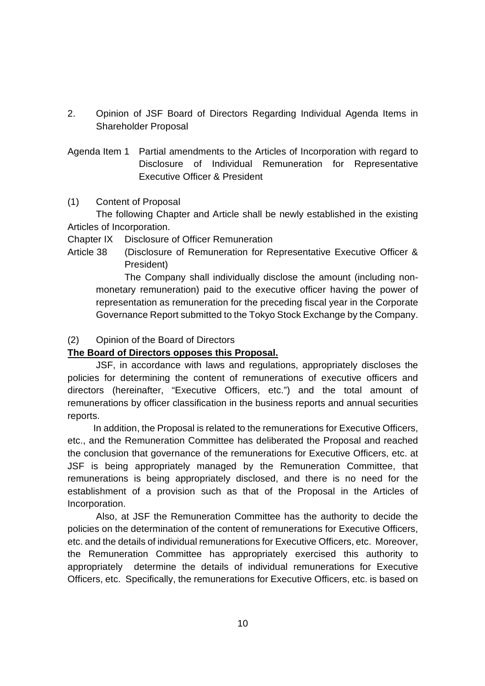- 2. Opinion of JSF Board of Directors Regarding Individual Agenda Items in Shareholder Proposal
- Agenda Item 1 Partial amendments to the Articles of Incorporation with regard to Disclosure of Individual Remuneration for Representative Executive Officer & President

## (1) Content of Proposal

The following Chapter and Article shall be newly established in the existing Articles of Incorporation.

Chapter IX Disclosure of Officer Remuneration

Article 38 (Disclosure of Remuneration for Representative Executive Officer & President)

The Company shall individually disclose the amount (including nonmonetary remuneration) paid to the executive officer having the power of representation as remuneration for the preceding fiscal year in the Corporate Governance Report submitted to the Tokyo Stock Exchange by the Company.

# (2) Opinion of the Board of Directors

# **The Board of Directors opposes this Proposal.**

JSF, in accordance with laws and regulations, appropriately discloses the policies for determining the content of remunerations of executive officers and directors (hereinafter, "Executive Officers, etc.") and the total amount of remunerations by officer classification in the business reports and annual securities reports.

In addition, the Proposal is related to the remunerations for Executive Officers, etc., and the Remuneration Committee has deliberated the Proposal and reached the conclusion that governance of the remunerations for Executive Officers, etc. at JSF is being appropriately managed by the Remuneration Committee, that remunerations is being appropriately disclosed, and there is no need for the establishment of a provision such as that of the Proposal in the Articles of Incorporation.

Also, at JSF the Remuneration Committee has the authority to decide the policies on the determination of the content of remunerations for Executive Officers, etc. and the details of individual remunerations for Executive Officers, etc. Moreover, the Remuneration Committee has appropriately exercised this authority to appropriately determine the details of individual remunerations for Executive Officers, etc. Specifically, the remunerations for Executive Officers, etc. is based on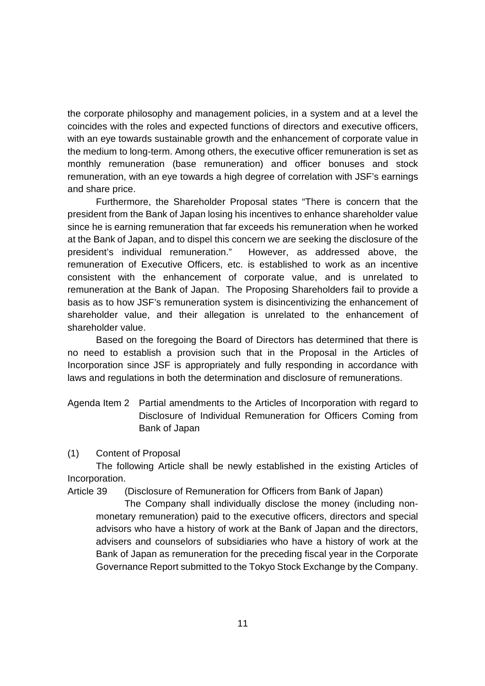the corporate philosophy and management policies, in a system and at a level the coincides with the roles and expected functions of directors and executive officers, with an eye towards sustainable growth and the enhancement of corporate value in the medium to long-term. Among others, the executive officer remuneration is set as monthly remuneration (base remuneration) and officer bonuses and stock remuneration, with an eye towards a high degree of correlation with JSF's earnings and share price.

Furthermore, the Shareholder Proposal states "There is concern that the president from the Bank of Japan losing his incentives to enhance shareholder value since he is earning remuneration that far exceeds his remuneration when he worked at the Bank of Japan, and to dispel this concern we are seeking the disclosure of the president's individual remuneration." However, as addressed above, the remuneration of Executive Officers, etc. is established to work as an incentive consistent with the enhancement of corporate value, and is unrelated to remuneration at the Bank of Japan. The Proposing Shareholders fail to provide a basis as to how JSF's remuneration system is disincentivizing the enhancement of shareholder value, and their allegation is unrelated to the enhancement of shareholder value.

Based on the foregoing the Board of Directors has determined that there is no need to establish a provision such that in the Proposal in the Articles of Incorporation since JSF is appropriately and fully responding in accordance with laws and regulations in both the determination and disclosure of remunerations.

- Agenda Item 2 Partial amendments to the Articles of Incorporation with regard to Disclosure of Individual Remuneration for Officers Coming from Bank of Japan
- (1) Content of Proposal

The following Article shall be newly established in the existing Articles of Incorporation.

Article 39 (Disclosure of Remuneration for Officers from Bank of Japan)

The Company shall individually disclose the money (including nonmonetary remuneration) paid to the executive officers, directors and special advisors who have a history of work at the Bank of Japan and the directors, advisers and counselors of subsidiaries who have a history of work at the Bank of Japan as remuneration for the preceding fiscal year in the Corporate Governance Report submitted to the Tokyo Stock Exchange by the Company.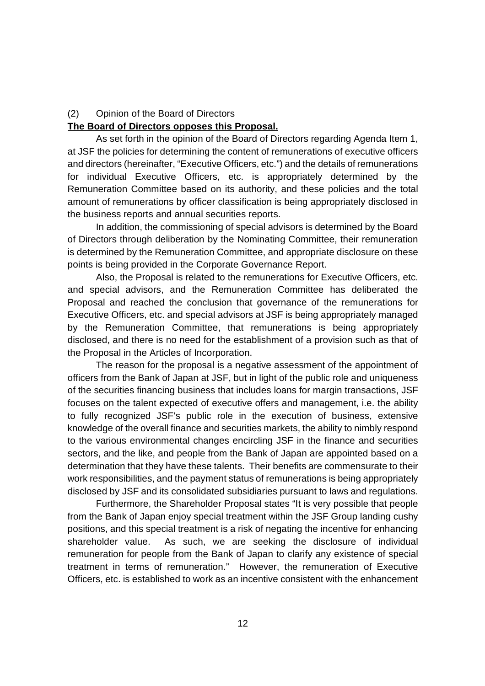### (2) Opinion of the Board of Directors

### **The Board of Directors opposes this Proposal.**

As set forth in the opinion of the Board of Directors regarding Agenda Item 1, at JSF the policies for determining the content of remunerations of executive officers and directors (hereinafter, "Executive Officers, etc.") and the details of remunerations for individual Executive Officers, etc. is appropriately determined by the Remuneration Committee based on its authority, and these policies and the total amount of remunerations by officer classification is being appropriately disclosed in the business reports and annual securities reports.

In addition, the commissioning of special advisors is determined by the Board of Directors through deliberation by the Nominating Committee, their remuneration is determined by the Remuneration Committee, and appropriate disclosure on these points is being provided in the Corporate Governance Report.

Also, the Proposal is related to the remunerations for Executive Officers, etc. and special advisors, and the Remuneration Committee has deliberated the Proposal and reached the conclusion that governance of the remunerations for Executive Officers, etc. and special advisors at JSF is being appropriately managed by the Remuneration Committee, that remunerations is being appropriately disclosed, and there is no need for the establishment of a provision such as that of the Proposal in the Articles of Incorporation.

The reason for the proposal is a negative assessment of the appointment of officers from the Bank of Japan at JSF, but in light of the public role and uniqueness of the securities financing business that includes loans for margin transactions, JSF focuses on the talent expected of executive offers and management, i.e. the ability to fully recognized JSF's public role in the execution of business, extensive knowledge of the overall finance and securities markets, the ability to nimbly respond to the various environmental changes encircling JSF in the finance and securities sectors, and the like, and people from the Bank of Japan are appointed based on a determination that they have these talents. Their benefits are commensurate to their work responsibilities, and the payment status of remunerations is being appropriately disclosed by JSF and its consolidated subsidiaries pursuant to laws and regulations.

Furthermore, the Shareholder Proposal states "It is very possible that people from the Bank of Japan enjoy special treatment within the JSF Group landing cushy positions, and this special treatment is a risk of negating the incentive for enhancing shareholder value. As such, we are seeking the disclosure of individual remuneration for people from the Bank of Japan to clarify any existence of special treatment in terms of remuneration." However, the remuneration of Executive Officers, etc. is established to work as an incentive consistent with the enhancement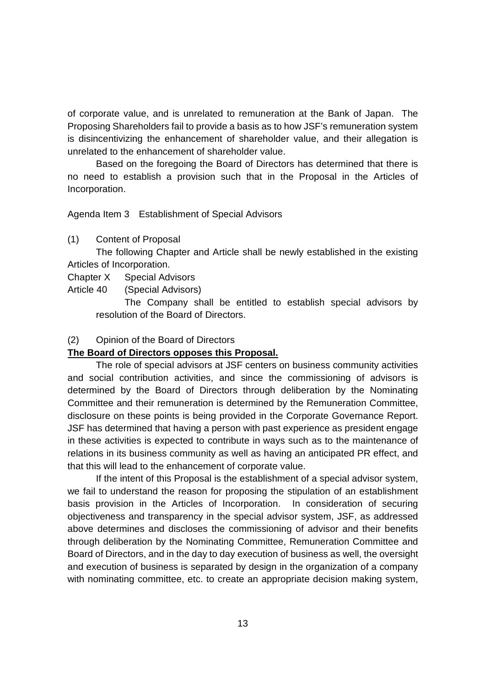of corporate value, and is unrelated to remuneration at the Bank of Japan. The Proposing Shareholders fail to provide a basis as to how JSF's remuneration system is disincentivizing the enhancement of shareholder value, and their allegation is unrelated to the enhancement of shareholder value.

Based on the foregoing the Board of Directors has determined that there is no need to establish a provision such that in the Proposal in the Articles of Incorporation.

Agenda Item 3 Establishment of Special Advisors

(1) Content of Proposal

The following Chapter and Article shall be newly established in the existing Articles of Incorporation.

Chapter X Special Advisors

Article 40 (Special Advisors)

The Company shall be entitled to establish special advisors by resolution of the Board of Directors.

#### (2) Opinion of the Board of Directors

### **The Board of Directors opposes this Proposal.**

The role of special advisors at JSF centers on business community activities and social contribution activities, and since the commissioning of advisors is determined by the Board of Directors through deliberation by the Nominating Committee and their remuneration is determined by the Remuneration Committee, disclosure on these points is being provided in the Corporate Governance Report. JSF has determined that having a person with past experience as president engage in these activities is expected to contribute in ways such as to the maintenance of relations in its business community as well as having an anticipated PR effect, and that this will lead to the enhancement of corporate value.

If the intent of this Proposal is the establishment of a special advisor system, we fail to understand the reason for proposing the stipulation of an establishment basis provision in the Articles of Incorporation. In consideration of securing objectiveness and transparency in the special advisor system, JSF, as addressed above determines and discloses the commissioning of advisor and their benefits through deliberation by the Nominating Committee, Remuneration Committee and Board of Directors, and in the day to day execution of business as well, the oversight and execution of business is separated by design in the organization of a company with nominating committee, etc. to create an appropriate decision making system,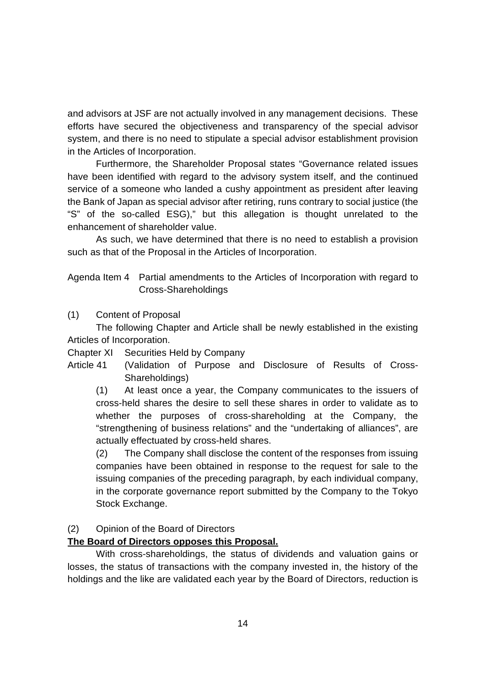and advisors at JSF are not actually involved in any management decisions. These efforts have secured the objectiveness and transparency of the special advisor system, and there is no need to stipulate a special advisor establishment provision in the Articles of Incorporation.

Furthermore, the Shareholder Proposal states "Governance related issues have been identified with regard to the advisory system itself, and the continued service of a someone who landed a cushy appointment as president after leaving the Bank of Japan as special advisor after retiring, runs contrary to social justice (the "S" of the so-called ESG)," but this allegation is thought unrelated to the enhancement of shareholder value.

As such, we have determined that there is no need to establish a provision such as that of the Proposal in the Articles of Incorporation.

Agenda Item 4 Partial amendments to the Articles of Incorporation with regard to Cross-Shareholdings

# (1) Content of Proposal

The following Chapter and Article shall be newly established in the existing Articles of Incorporation.

Chapter XI Securities Held by Company

Article 41 (Validation of Purpose and Disclosure of Results of Cross-Shareholdings)

(1) At least once a year, the Company communicates to the issuers of cross-held shares the desire to sell these shares in order to validate as to whether the purposes of cross-shareholding at the Company, the "strengthening of business relations" and the "undertaking of alliances", are actually effectuated by cross-held shares.

(2) The Company shall disclose the content of the responses from issuing companies have been obtained in response to the request for sale to the issuing companies of the preceding paragraph, by each individual company, in the corporate governance report submitted by the Company to the Tokyo Stock Exchange.

# (2) Opinion of the Board of Directors

# **The Board of Directors opposes this Proposal.**

With cross-shareholdings, the status of dividends and valuation gains or losses, the status of transactions with the company invested in, the history of the holdings and the like are validated each year by the Board of Directors, reduction is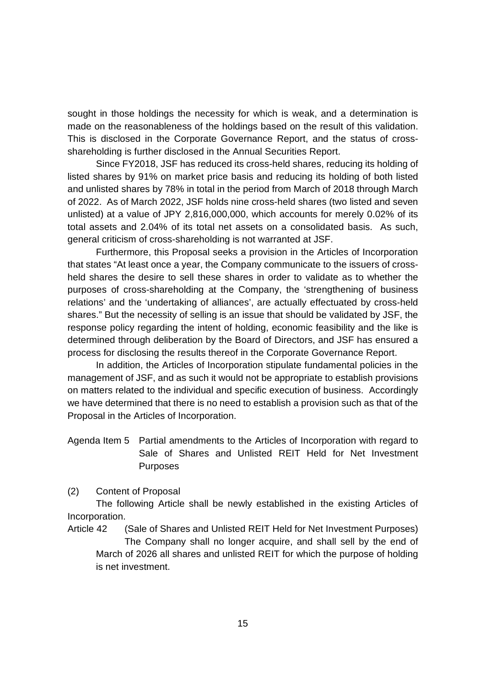sought in those holdings the necessity for which is weak, and a determination is made on the reasonableness of the holdings based on the result of this validation. This is disclosed in the Corporate Governance Report, and the status of crossshareholding is further disclosed in the Annual Securities Report.

Since FY2018, JSF has reduced its cross-held shares, reducing its holding of listed shares by 91% on market price basis and reducing its holding of both listed and unlisted shares by 78% in total in the period from March of 2018 through March of 2022. As of March 2022, JSF holds nine cross-held shares (two listed and seven unlisted) at a value of JPY 2,816,000,000, which accounts for merely 0.02% of its total assets and 2.04% of its total net assets on a consolidated basis. As such, general criticism of cross-shareholding is not warranted at JSF.

Furthermore, this Proposal seeks a provision in the Articles of Incorporation that states "At least once a year, the Company communicate to the issuers of crossheld shares the desire to sell these shares in order to validate as to whether the purposes of cross-shareholding at the Company, the 'strengthening of business relations' and the 'undertaking of alliances', are actually effectuated by cross-held shares." But the necessity of selling is an issue that should be validated by JSF, the response policy regarding the intent of holding, economic feasibility and the like is determined through deliberation by the Board of Directors, and JSF has ensured a process for disclosing the results thereof in the Corporate Governance Report.

In addition, the Articles of Incorporation stipulate fundamental policies in the management of JSF, and as such it would not be appropriate to establish provisions on matters related to the individual and specific execution of business. Accordingly we have determined that there is no need to establish a provision such as that of the Proposal in the Articles of Incorporation.

Agenda Item 5 Partial amendments to the Articles of Incorporation with regard to Sale of Shares and Unlisted REIT Held for Net Investment Purposes

(2) Content of Proposal

The following Article shall be newly established in the existing Articles of Incorporation.

Article 42 (Sale of Shares and Unlisted REIT Held for Net Investment Purposes) The Company shall no longer acquire, and shall sell by the end of March of 2026 all shares and unlisted REIT for which the purpose of holding is net investment.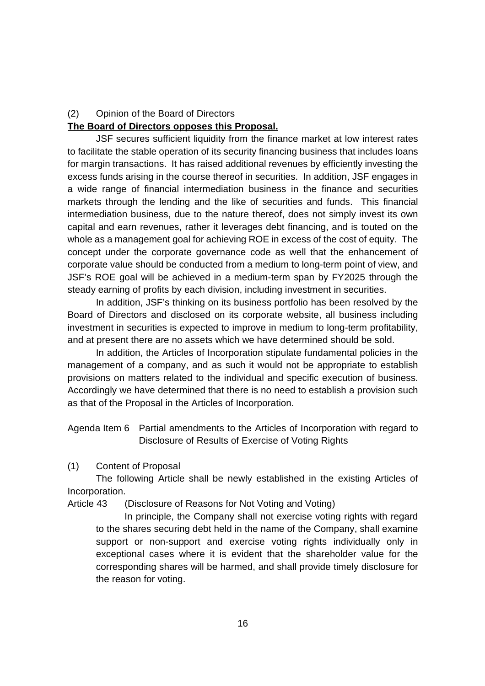## (2) Opinion of the Board of Directors

### **The Board of Directors opposes this Proposal.**

JSF secures sufficient liquidity from the finance market at low interest rates to facilitate the stable operation of its security financing business that includes loans for margin transactions. It has raised additional revenues by efficiently investing the excess funds arising in the course thereof in securities. In addition, JSF engages in a wide range of financial intermediation business in the finance and securities markets through the lending and the like of securities and funds. This financial intermediation business, due to the nature thereof, does not simply invest its own capital and earn revenues, rather it leverages debt financing, and is touted on the whole as a management goal for achieving ROE in excess of the cost of equity. The concept under the corporate governance code as well that the enhancement of corporate value should be conducted from a medium to long-term point of view, and JSF's ROE goal will be achieved in a medium-term span by FY2025 through the steady earning of profits by each division, including investment in securities.

In addition, JSF's thinking on its business portfolio has been resolved by the Board of Directors and disclosed on its corporate website, all business including investment in securities is expected to improve in medium to long-term profitability, and at present there are no assets which we have determined should be sold.

In addition, the Articles of Incorporation stipulate fundamental policies in the management of a company, and as such it would not be appropriate to establish provisions on matters related to the individual and specific execution of business. Accordingly we have determined that there is no need to establish a provision such as that of the Proposal in the Articles of Incorporation.

Agenda Item 6 Partial amendments to the Articles of Incorporation with regard to Disclosure of Results of Exercise of Voting Rights

(1) Content of Proposal

The following Article shall be newly established in the existing Articles of Incorporation.

Article 43 (Disclosure of Reasons for Not Voting and Voting)

In principle, the Company shall not exercise voting rights with regard to the shares securing debt held in the name of the Company, shall examine support or non-support and exercise voting rights individually only in exceptional cases where it is evident that the shareholder value for the corresponding shares will be harmed, and shall provide timely disclosure for the reason for voting.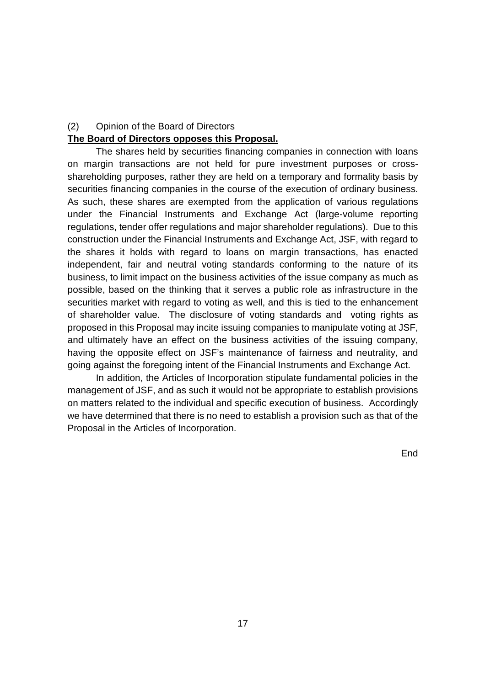## (2) Opinion of the Board of Directors

#### **The Board of Directors opposes this Proposal.**

The shares held by securities financing companies in connection with loans on margin transactions are not held for pure investment purposes or crossshareholding purposes, rather they are held on a temporary and formality basis by securities financing companies in the course of the execution of ordinary business. As such, these shares are exempted from the application of various regulations under the Financial Instruments and Exchange Act (large-volume reporting regulations, tender offer regulations and major shareholder regulations). Due to this construction under the Financial Instruments and Exchange Act, JSF, with regard to the shares it holds with regard to loans on margin transactions, has enacted independent, fair and neutral voting standards conforming to the nature of its business, to limit impact on the business activities of the issue company as much as possible, based on the thinking that it serves a public role as infrastructure in the securities market with regard to voting as well, and this is tied to the enhancement of shareholder value. The disclosure of voting standards and voting rights as proposed in this Proposal may incite issuing companies to manipulate voting at JSF, and ultimately have an effect on the business activities of the issuing company, having the opposite effect on JSF's maintenance of fairness and neutrality, and going against the foregoing intent of the Financial Instruments and Exchange Act.

In addition, the Articles of Incorporation stipulate fundamental policies in the management of JSF, and as such it would not be appropriate to establish provisions on matters related to the individual and specific execution of business. Accordingly we have determined that there is no need to establish a provision such as that of the Proposal in the Articles of Incorporation.

End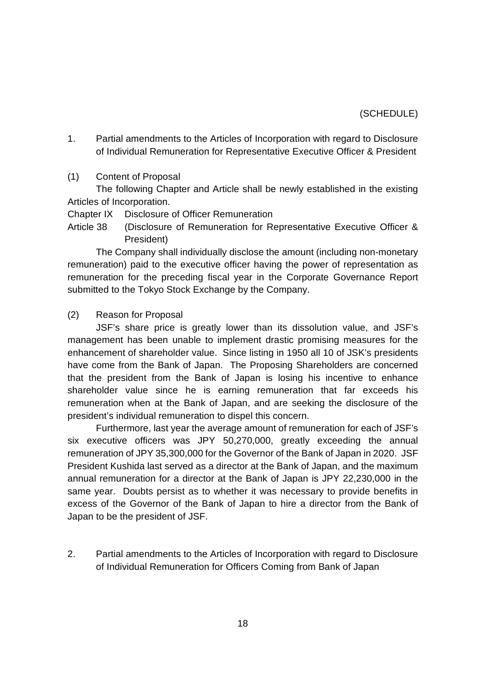## (SCHEDULE)

- 1. Partial amendments to the Articles of Incorporation with regard to Disclosure of Individual Remuneration for Representative Executive Officer & President
- (1) Content of Proposal

The following Chapter and Article shall be newly established in the existing Articles of Incorporation.

- Chapter IX Disclosure of Officer Remuneration
- Article 38 (Disclosure of Remuneration for Representative Executive Officer & President)

The Company shall individually disclose the amount (including non-monetary remuneration) paid to the executive officer having the power of representation as remuneration for the preceding fiscal year in the Corporate Governance Report submitted to the Tokyo Stock Exchange by the Company.

(2) Reason for Proposal

JSF's share price is greatly lower than its dissolution value, and JSF's management has been unable to implement drastic promising measures for the enhancement of shareholder value. Since listing in 1950 all 10 of JSK's presidents have come from the Bank of Japan. The Proposing Shareholders are concerned that the president from the Bank of Japan is losing his incentive to enhance shareholder value since he is earning remuneration that far exceeds his remuneration when at the Bank of Japan, and are seeking the disclosure of the president's individual remuneration to dispel this concern.

Furthermore, last year the average amount of remuneration for each of JSF's six executive officers was JPY 50,270,000, greatly exceeding the annual remuneration of JPY 35,300,000 for the Governor of the Bank of Japan in 2020. JSF President Kushida last served as a director at the Bank of Japan, and the maximum annual remuneration for a director at the Bank of Japan is JPY 22,230,000 in the same year. Doubts persist as to whether it was necessary to provide benefits in excess of the Governor of the Bank of Japan to hire a director from the Bank of Japan to be the president of JSF.

2. Partial amendments to the Articles of Incorporation with regard to Disclosure of Individual Remuneration for Officers Coming from Bank of Japan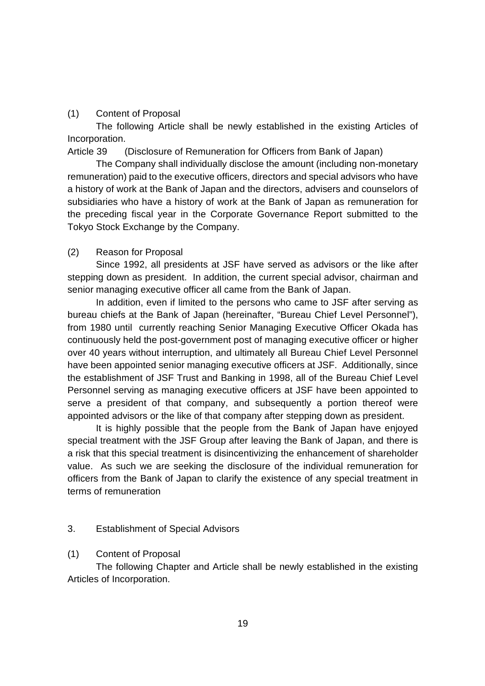# (1) Content of Proposal

The following Article shall be newly established in the existing Articles of Incorporation.

Article 39 (Disclosure of Remuneration for Officers from Bank of Japan)

The Company shall individually disclose the amount (including non-monetary remuneration) paid to the executive officers, directors and special advisors who have a history of work at the Bank of Japan and the directors, advisers and counselors of subsidiaries who have a history of work at the Bank of Japan as remuneration for the preceding fiscal year in the Corporate Governance Report submitted to the Tokyo Stock Exchange by the Company.

## (2) Reason for Proposal

Since 1992, all presidents at JSF have served as advisors or the like after stepping down as president. In addition, the current special advisor, chairman and senior managing executive officer all came from the Bank of Japan.

In addition, even if limited to the persons who came to JSF after serving as bureau chiefs at the Bank of Japan (hereinafter, "Bureau Chief Level Personnel"), from 1980 until currently reaching Senior Managing Executive Officer Okada has continuously held the post-government post of managing executive officer or higher over 40 years without interruption, and ultimately all Bureau Chief Level Personnel have been appointed senior managing executive officers at JSF. Additionally, since the establishment of JSF Trust and Banking in 1998, all of the Bureau Chief Level Personnel serving as managing executive officers at JSF have been appointed to serve a president of that company, and subsequently a portion thereof were appointed advisors or the like of that company after stepping down as president.

It is highly possible that the people from the Bank of Japan have enjoyed special treatment with the JSF Group after leaving the Bank of Japan, and there is a risk that this special treatment is disincentivizing the enhancement of shareholder value. As such we are seeking the disclosure of the individual remuneration for officers from the Bank of Japan to clarify the existence of any special treatment in terms of remuneration

# 3. Establishment of Special Advisors

# (1) Content of Proposal

The following Chapter and Article shall be newly established in the existing Articles of Incorporation.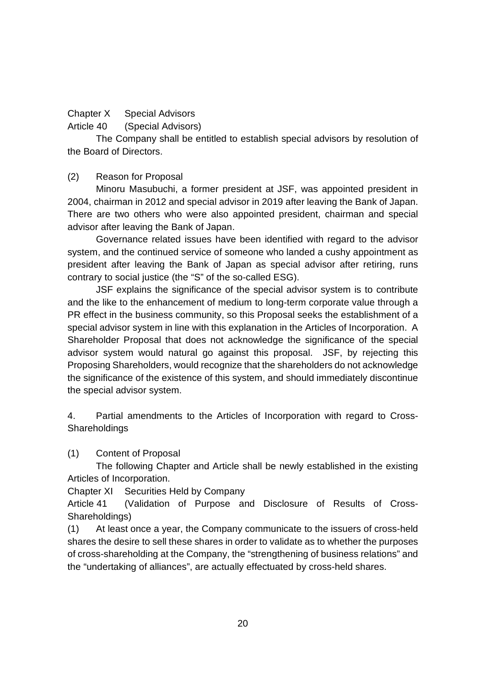# Chapter X Special Advisors

Article 40 (Special Advisors)

The Company shall be entitled to establish special advisors by resolution of the Board of Directors.

# (2) Reason for Proposal

Minoru Masubuchi, a former president at JSF, was appointed president in 2004, chairman in 2012 and special advisor in 2019 after leaving the Bank of Japan. There are two others who were also appointed president, chairman and special advisor after leaving the Bank of Japan.

Governance related issues have been identified with regard to the advisor system, and the continued service of someone who landed a cushy appointment as president after leaving the Bank of Japan as special advisor after retiring, runs contrary to social justice (the "S" of the so-called ESG).

JSF explains the significance of the special advisor system is to contribute and the like to the enhancement of medium to long-term corporate value through a PR effect in the business community, so this Proposal seeks the establishment of a special advisor system in line with this explanation in the Articles of Incorporation. A Shareholder Proposal that does not acknowledge the significance of the special advisor system would natural go against this proposal. JSF, by rejecting this Proposing Shareholders, would recognize that the shareholders do not acknowledge the significance of the existence of this system, and should immediately discontinue the special advisor system.

4. Partial amendments to the Articles of Incorporation with regard to Cross-**Shareholdings** 

(1) Content of Proposal

The following Chapter and Article shall be newly established in the existing Articles of Incorporation.

Chapter XI Securities Held by Company

Article 41 (Validation of Purpose and Disclosure of Results of Cross-Shareholdings)

(1) At least once a year, the Company communicate to the issuers of cross-held shares the desire to sell these shares in order to validate as to whether the purposes of cross-shareholding at the Company, the "strengthening of business relations" and the "undertaking of alliances", are actually effectuated by cross-held shares.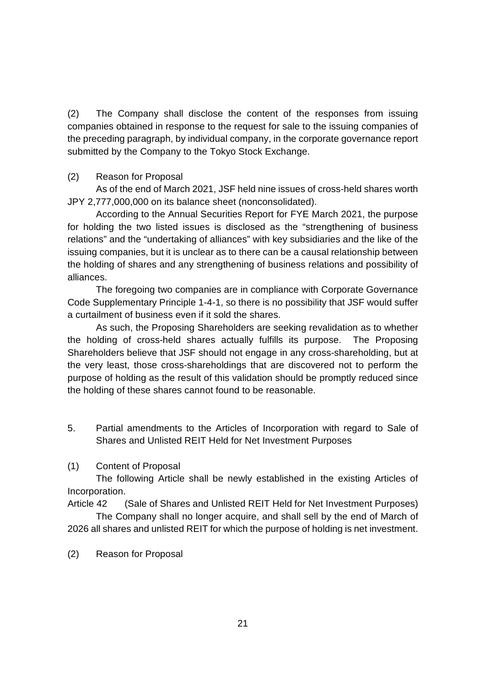(2) The Company shall disclose the content of the responses from issuing companies obtained in response to the request for sale to the issuing companies of the preceding paragraph, by individual company, in the corporate governance report submitted by the Company to the Tokyo Stock Exchange.

# (2) Reason for Proposal

As of the end of March 2021, JSF held nine issues of cross-held shares worth JPY 2,777,000,000 on its balance sheet (nonconsolidated).

According to the Annual Securities Report for FYE March 2021, the purpose for holding the two listed issues is disclosed as the "strengthening of business relations" and the "undertaking of alliances" with key subsidiaries and the like of the issuing companies, but it is unclear as to there can be a causal relationship between the holding of shares and any strengthening of business relations and possibility of alliances.

The foregoing two companies are in compliance with Corporate Governance Code Supplementary Principle 1-4-1, so there is no possibility that JSF would suffer a curtailment of business even if it sold the shares.

As such, the Proposing Shareholders are seeking revalidation as to whether the holding of cross-held shares actually fulfills its purpose. The Proposing Shareholders believe that JSF should not engage in any cross-shareholding, but at the very least, those cross-shareholdings that are discovered not to perform the purpose of holding as the result of this validation should be promptly reduced since the holding of these shares cannot found to be reasonable.

5. Partial amendments to the Articles of Incorporation with regard to Sale of Shares and Unlisted REIT Held for Net Investment Purposes

# (1) Content of Proposal

The following Article shall be newly established in the existing Articles of Incorporation.

Article 42 (Sale of Shares and Unlisted REIT Held for Net Investment Purposes)

The Company shall no longer acquire, and shall sell by the end of March of 2026 all shares and unlisted REIT for which the purpose of holding is net investment.

(2) Reason for Proposal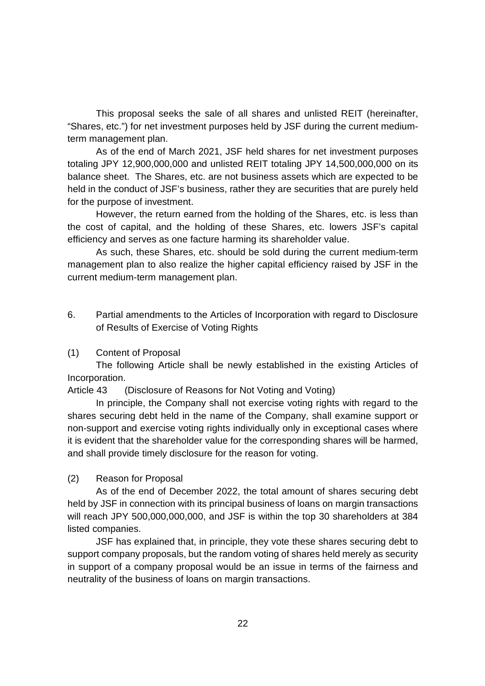This proposal seeks the sale of all shares and unlisted REIT (hereinafter, "Shares, etc.") for net investment purposes held by JSF during the current mediumterm management plan.

As of the end of March 2021, JSF held shares for net investment purposes totaling JPY 12,900,000,000 and unlisted REIT totaling JPY 14,500,000,000 on its balance sheet. The Shares, etc. are not business assets which are expected to be held in the conduct of JSF's business, rather they are securities that are purely held for the purpose of investment.

However, the return earned from the holding of the Shares, etc. is less than the cost of capital, and the holding of these Shares, etc. lowers JSF's capital efficiency and serves as one facture harming its shareholder value.

As such, these Shares, etc. should be sold during the current medium-term management plan to also realize the higher capital efficiency raised by JSF in the current medium-term management plan.

- 6. Partial amendments to the Articles of Incorporation with regard to Disclosure of Results of Exercise of Voting Rights
- (1) Content of Proposal

The following Article shall be newly established in the existing Articles of Incorporation.

Article 43 (Disclosure of Reasons for Not Voting and Voting)

In principle, the Company shall not exercise voting rights with regard to the shares securing debt held in the name of the Company, shall examine support or non-support and exercise voting rights individually only in exceptional cases where it is evident that the shareholder value for the corresponding shares will be harmed, and shall provide timely disclosure for the reason for voting.

(2) Reason for Proposal

As of the end of December 2022, the total amount of shares securing debt held by JSF in connection with its principal business of loans on margin transactions will reach JPY 500,000,000,000, and JSF is within the top 30 shareholders at 384 listed companies.

JSF has explained that, in principle, they vote these shares securing debt to support company proposals, but the random voting of shares held merely as security in support of a company proposal would be an issue in terms of the fairness and neutrality of the business of loans on margin transactions.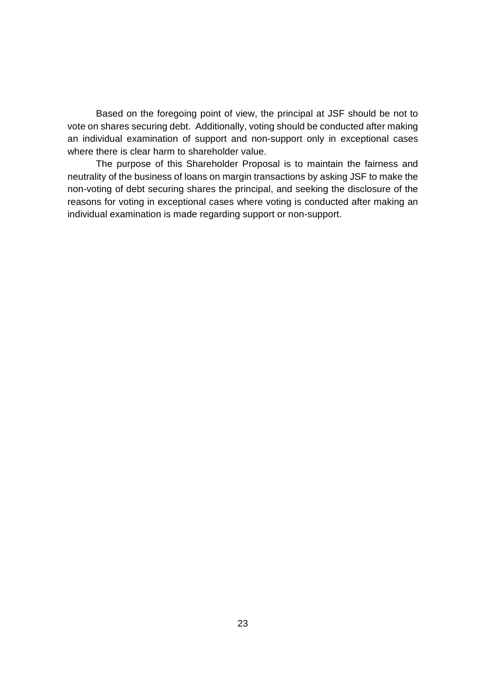Based on the foregoing point of view, the principal at JSF should be not to vote on shares securing debt. Additionally, voting should be conducted after making an individual examination of support and non-support only in exceptional cases where there is clear harm to shareholder value.

The purpose of this Shareholder Proposal is to maintain the fairness and neutrality of the business of loans on margin transactions by asking JSF to make the non-voting of debt securing shares the principal, and seeking the disclosure of the reasons for voting in exceptional cases where voting is conducted after making an individual examination is made regarding support or non-support.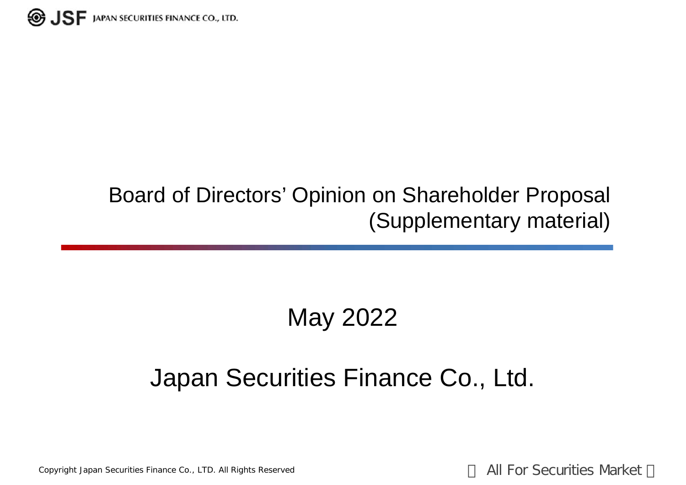

# Board of Directors' Opinion on Shareholder Proposal (Supplementary material)

# May 2022

# Japan Securities Finance Co., Ltd.

Copyright Japan Securities Finance Co., LTD. All Rights Reserved **All For Securities Market**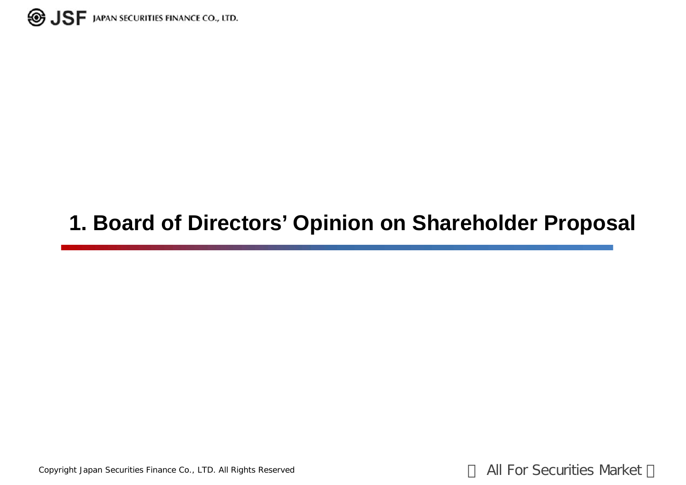

# **1. Board of Directors' Opinion on Shareholder Proposal**

Copyright Japan Securities Finance Co., LTD. All Rights Reserved **All For Securities Market**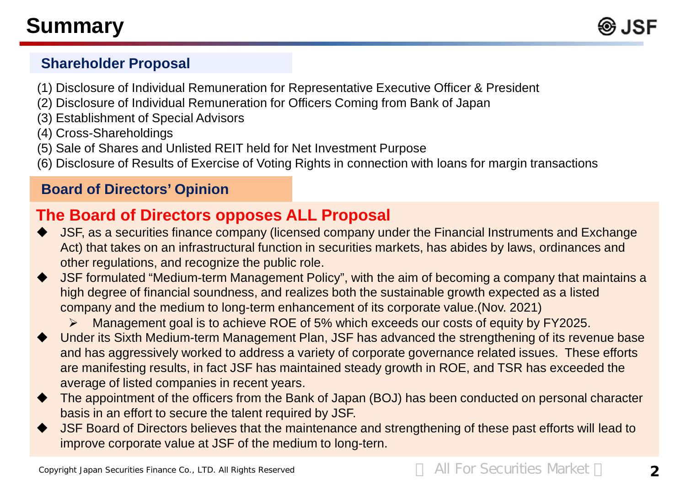

# **Shareholder Proposal**

- (1) Disclosure of Individual Remuneration for Representative Executive Officer & President
- (2) Disclosure of Individual Remuneration for Officers Coming from Bank of Japan
- (3) Establishment of Special Advisors
- (4) Cross-Shareholdings
- (5) Sale of Shares and Unlisted REIT held for Net Investment Purpose
- (6) Disclosure of Results of Exercise of Voting Rights in connection with loans for margin transactions

# **Board of Directors' Opinion**

# **The Board of Directors opposes ALL Proposal**

- JSF, as a securities finance company (licensed company under the Financial Instruments and Exchange Act) that takes on an infrastructural function in securities markets, has abides by laws, ordinances and other regulations, and recognize the public role.
- JSF formulated "Medium-term Management Policy", with the aim of becoming a company that maintains a high degree of financial soundness, and realizes both the sustainable growth expected as a listed company and the medium to long-term enhancement of its corporate value.(Nov. 2021)

Management goal is to achieve ROE of 5% which exceeds our costs of equity by FY2025.

- Under its Sixth Medium-term Management Plan, JSF has advanced the strengthening of its revenue base and has aggressively worked to address a variety of corporate governance related issues. These efforts are manifesting results, in fact JSF has maintained steady growth in ROE, and TSR has exceeded the average of listed companies in recent years.
- The appointment of the officers from the Bank of Japan (BOJ) has been conducted on personal character basis in an effort to secure the talent required by JSF.
- JSF Board of Directors believes that the maintenance and strengthening of these past efforts will lead to improve corporate value at JSF of the medium to long-tern.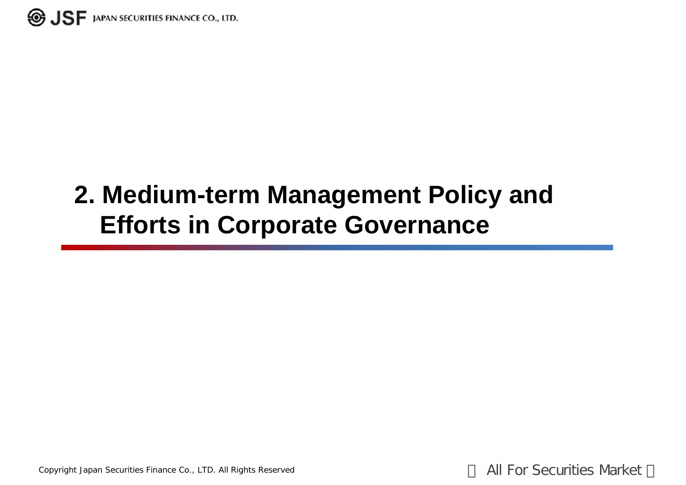

# **2. Medium-term Management Policy and Efforts in Corporate Governance**

Copyright Japan Securities Finance Co., LTD. All Rights Reserved **All For Securities Market**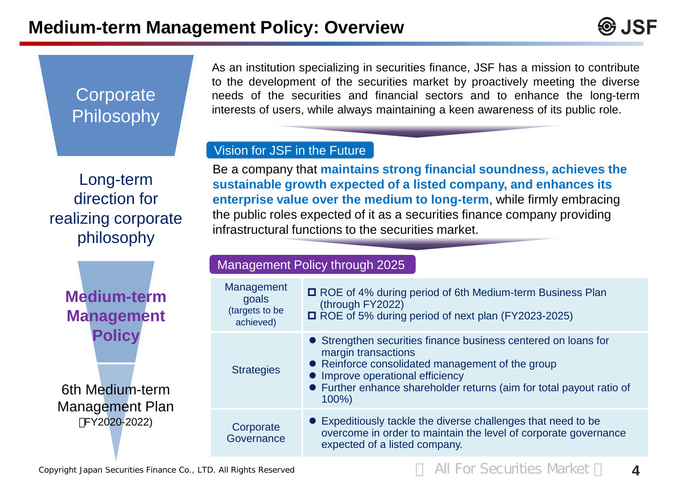

# **Corporate** Philosophy

As an institution specializing in securities finance, JSF has a mission to contribute to the development of the securities market by proactively meeting the diverse needs of the securities and financial sectors and to enhance the long-term interests of users, while always maintaining a keen awareness of its public role.

# Vision for JSF in the Future

Long-term direction for realizing corporate philosophy

Be a company that **maintains strong financial soundness, achieves the sustainable growth expected of a listed company, and enhances its enterprise value over the medium to long-term**, while firmly embracing the public roles expected of it as a securities finance company providing infrastructural functions to the securities market.

# 6th Medium-term **Medium-term Management Policy**

Management Policy through 2025

| <b>Medium-term</b><br><b>Management</b>                    | Management<br>goals<br>(targets to be<br>achieved) | □ ROE of 4% during period of 6th Medium-term Business Plan<br>(through FY2022)<br>ROE of 5% during period of next plan (FY2023-2025)                                                                                                                             |
|------------------------------------------------------------|----------------------------------------------------|------------------------------------------------------------------------------------------------------------------------------------------------------------------------------------------------------------------------------------------------------------------|
| <b>Policy</b><br>6th Medium-term<br><b>Management Plan</b> | <b>Strategies</b>                                  | • Strengthen securities finance business centered on loans for<br>margin transactions<br>• Reinforce consolidated management of the group<br>• Improve operational efficiency<br>• Further enhance shareholder returns (aim for total payout ratio of<br>$100\%$ |
| FY2020-2022)                                               | Corporate<br>Governance                            | • Expeditiously tackle the diverse challenges that need to be<br>overcome in order to maintain the level of corporate governance<br>expected of a listed company.                                                                                                |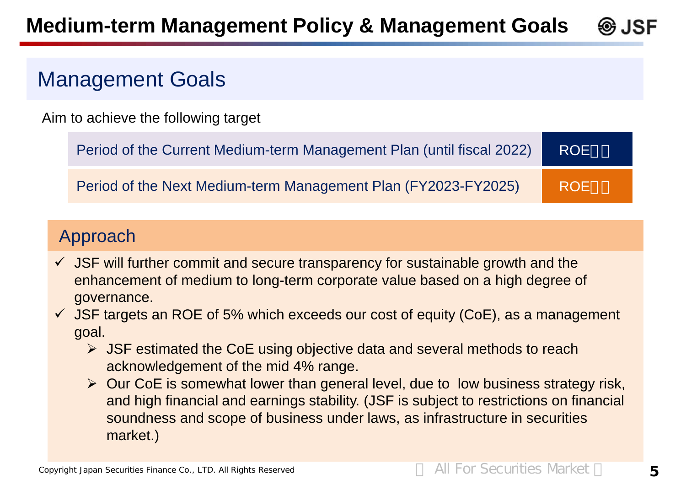# **Management Goals**

Aim to achieve the following target

| Period of the Current Medium-term Management Plan (until fiscal 2022) | <b>ROE</b> |
|-----------------------------------------------------------------------|------------|
| Period of the Next Medium-term Management Plan (FY2023-FY2025)        | <b>ROE</b> |

# Approach

- JSF will further commit and secure transparency for sustainable growth and the enhancement of medium to long-term corporate value based on a high degree of governance.
- $\checkmark$  JSF targets an ROE of 5% which exceeds our cost of equity (CoE), as a management goal.
	- $\triangleright$  JSF estimated the CoE using objective data and several methods to reach acknowledgement of the mid 4% range.
	- $\triangleright$  Our CoE is somewhat lower than general level, due to low business strategy risk, and high financial and earnings stability. (JSF is subject to restrictions on financial soundness and scope of business under laws, as infrastructure in securities market.)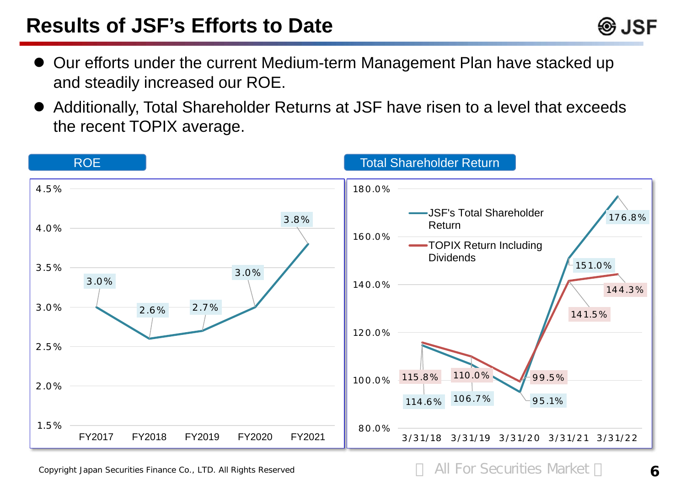- Our efforts under the current Medium-term Management Plan have stacked up and steadily increased our ROE.
- Additionally, Total Shareholder Returns at JSF have risen to a level that exceeds the recent TOPIX average.



Copyright Japan Securities Finance Co., LTD. All Rights Reserved **All For Securities Market 6** 

⊛ JSF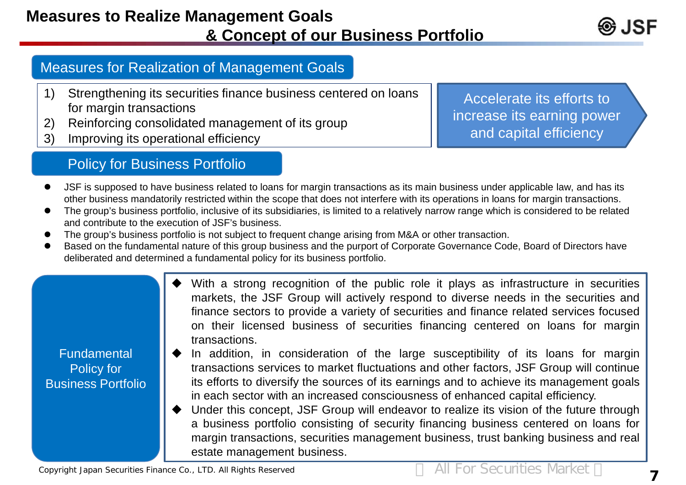# **Measures to Realize Management Goals & Concept of our Business Portfolio**

# Measures for Realization of Management Goals

- 1) Strengthening its securities finance business centered on loans for margin transactions
- 2) Reinforcing consolidated management of its group
- 3) Improving its operational efficiency

Accelerate its efforts to increase its earning power and capital efficiency

# Policy for Business Portfolio

- JSF is supposed to have business related to loans for margin transactions as its main business under applicable law, and has its other business mandatorily restricted within the scope that does not interfere with its operations in loans for margin transactions.
- The group's business portfolio, inclusive of its subsidiaries, is limited to a relatively narrow range which is considered to be related and contribute to the execution of JSF's business.
- The group's business portfolio is not subject to frequent change arising from M&A or other transaction.
- Based on the fundamental nature of this group business and the purport of Corporate Governance Code, Board of Directors have deliberated and determined a fundamental policy for its business portfolio.
	- With a strong recognition of the public role it plays as infrastructure in securities markets, the JSF Group will actively respond to diverse needs in the securities and finance sectors to provide a variety of securities and finance related services focused on their licensed business of securities financing centered on loans for margin transactions.

# **Fundamental** Policy for Business Portfolio

- In addition, in consideration of the large susceptibility of its loans for margin transactions services to market fluctuations and other factors, JSF Group will continue its efforts to diversify the sources of its earnings and to achieve its management goals in each sector with an increased consciousness of enhanced capital efficiency.
- Under this concept, JSF Group will endeavor to realize its vision of the future through a business portfolio consisting of security financing business centered on loans for margin transactions, securities management business, trust banking business and real estate management business.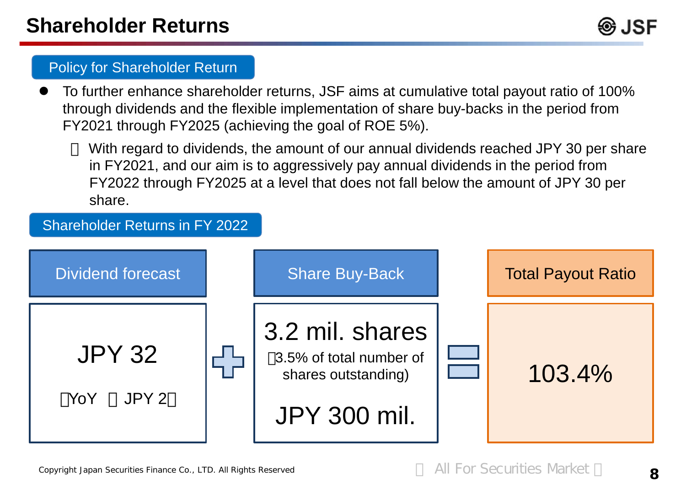

# Policy for Shareholder Return

 To further enhance shareholder returns, JSF aims at cumulative total payout ratio of 100% through dividends and the flexible implementation of share buy-backs in the period from FY2021 through FY2025 (achieving the goal of ROE 5%).

With regard to dividends, the amount of our annual dividends reached JPY 30 per share in FY2021, and our aim is to aggressively pay annual dividends in the period from FY2022 through FY2025 at a level that does not fall below the amount of JPY 30 per share.

# Dividend forecast JPY 32 YoY JPY 2 Share Buy-Back 3.2 mil. shares 3.5% of total number of shares outstanding) JPY 300 mil. Total Payout Ratio 103.4% Shareholder Returns in FY 2022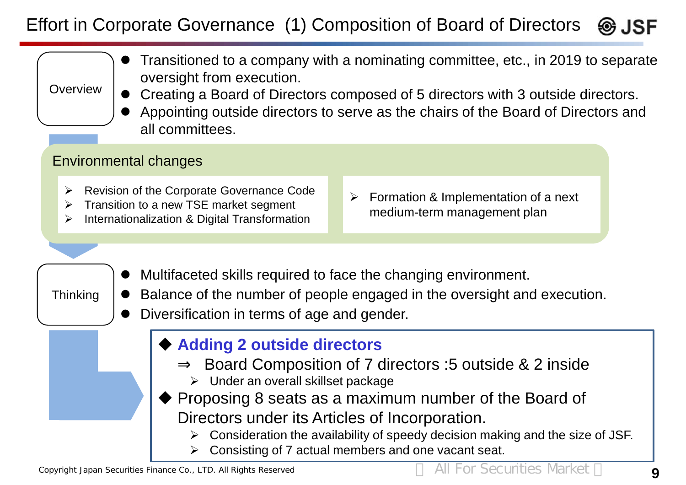# Effort in Corporate Governance (1) Composition of Board of Directors ❸ JSF

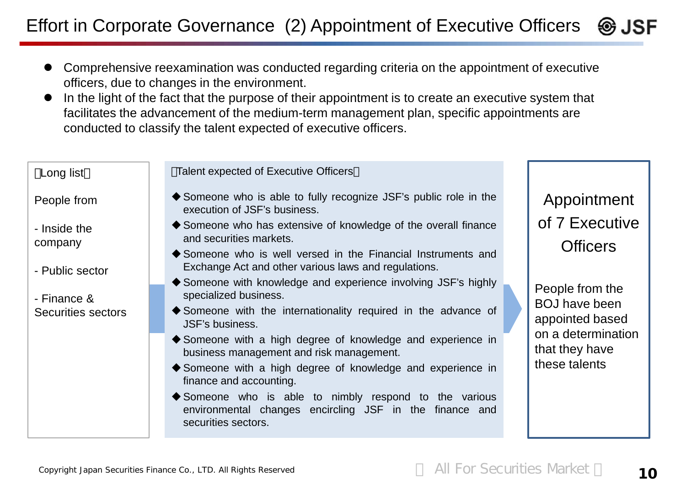Effort in Corporate Governance (2) Appointment of Executive Officers ⊛ JSF

- Comprehensive reexamination was conducted regarding criteria on the appointment of executive officers, due to changes in the environment.
- In the light of the fact that the purpose of their appointment is to create an executive system that facilitates the advancement of the medium-term management plan, specific appointments are conducted to classify the talent expected of executive officers.

| Long list                         | <b>Talent expected of Executive Officers</b>                                                                                                           |  |                                                            |
|-----------------------------------|--------------------------------------------------------------------------------------------------------------------------------------------------------|--|------------------------------------------------------------|
| People from                       | ◆ Someone who is able to fully recognize JSF's public role in the<br>execution of JSF's business.                                                      |  | Appointment                                                |
| - Inside the                      | ◆ Someone who has extensive of knowledge of the overall finance                                                                                        |  | of 7 Executive                                             |
| company                           | and securities markets.<br>Someone who is well versed in the Financial Instruments and                                                                 |  | <b>Officers</b>                                            |
| - Public sector                   | Exchange Act and other various laws and regulations.                                                                                                   |  |                                                            |
|                                   | ◆ Someone with knowledge and experience involving JSF's highly<br>specialized business.                                                                |  | People from the<br><b>BOJ have been</b><br>appointed based |
| - Finance &<br>Securities sectors | ◆ Someone with the internationality required in the advance of<br>JSF's business.                                                                      |  |                                                            |
|                                   | ◆ Someone with a high degree of knowledge and experience in<br>business management and risk management.                                                |  | on a determination<br>that they have                       |
|                                   | ◆ Someone with a high degree of knowledge and experience in<br>finance and accounting.                                                                 |  | these talents                                              |
|                                   | $\blacklozenge$ Someone who is able to nimbly respond to the various<br>environmental changes encircling JSF in the finance and<br>securities sectors. |  |                                                            |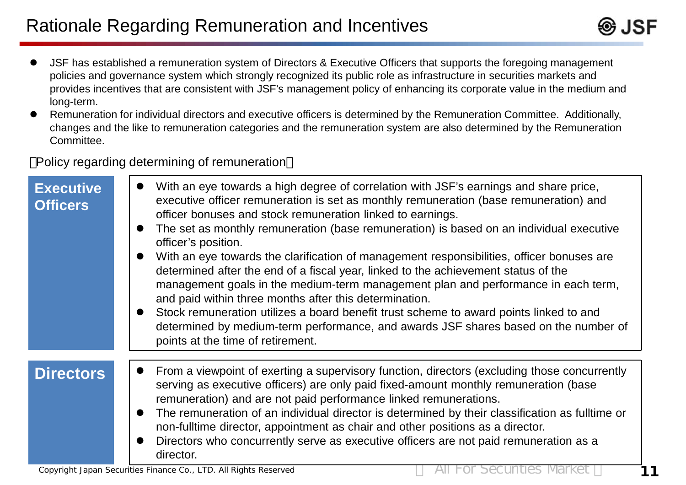- JSF has established a remuneration system of Directors & Executive Officers that supports the foregoing management policies and governance system which strongly recognized its public role as infrastructure in securities markets and provides incentives that are consistent with JSF's management policy of enhancing its corporate value in the medium and long-term.
- Remuneration for individual directors and executive officers is determined by the Remuneration Committee. Additionally, changes and the like to remuneration categories and the remuneration system are also determined by the Remuneration Committee.

Policy regarding determining of remuneration

| <b>Executive</b><br><b>Officers</b> | With an eye towards a high degree of correlation with JSF's earnings and share price,<br>executive officer remuneration is set as monthly remuneration (base remuneration) and<br>officer bonuses and stock remuneration linked to earnings.<br>The set as monthly remuneration (base remuneration) is based on an individual executive<br>officer's position.<br>With an eye towards the clarification of management responsibilities, officer bonuses are<br>determined after the end of a fiscal year, linked to the achievement status of the<br>management goals in the medium-term management plan and performance in each term,<br>and paid within three months after this determination.<br>Stock remuneration utilizes a board benefit trust scheme to award points linked to and<br>determined by medium-term performance, and awards JSF shares based on the number of<br>points at the time of retirement. |
|-------------------------------------|------------------------------------------------------------------------------------------------------------------------------------------------------------------------------------------------------------------------------------------------------------------------------------------------------------------------------------------------------------------------------------------------------------------------------------------------------------------------------------------------------------------------------------------------------------------------------------------------------------------------------------------------------------------------------------------------------------------------------------------------------------------------------------------------------------------------------------------------------------------------------------------------------------------------|
| <b>Directors</b>                    | From a viewpoint of exerting a supervisory function, directors (excluding those concurrently<br>serving as executive officers) are only paid fixed-amount monthly remuneration (base<br>remuneration) and are not paid performance linked remunerations.<br>The remuneration of an individual director is determined by their classification as fulltime or<br>non-fulltime director, appointment as chair and other positions as a director.<br>Directors who concurrently serve as executive officers are not paid remuneration as a<br>director.                                                                                                                                                                                                                                                                                                                                                                    |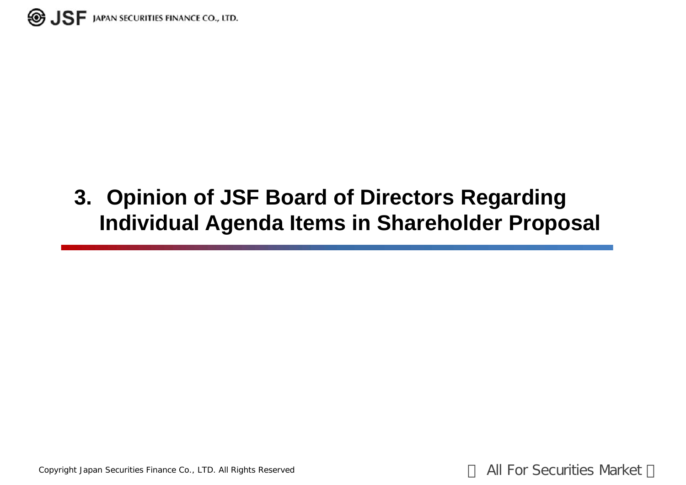

# **3. Opinion of JSF Board of Directors Regarding Individual Agenda Items in Shareholder Proposal**

Copyright Japan Securities Finance Co., LTD. All Rights Reserved **All For Securities Market**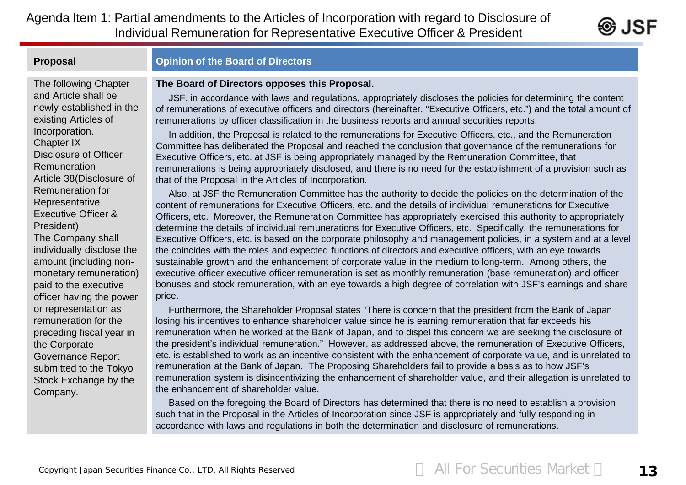Agenda Item 1: Partial amendments to the Articles of Incorporation with regard to Disclosure of Individual Remuneration for Representative Executive Officer & President



# The following Chapter and Article shall be newly established in the existing Articles of Incorporation. Chapter IX Disclosure of Officer Remuneration Article 38(Disclosure of Remuneration for **Representative** Executive Officer & President)

The Company shall individually disclose the amount (including nonmonetary remuneration) paid to the executive officer having the power or representation as remuneration for the preceding fiscal year in the Corporate Governance Report submitted to the Tokyo Stock Exchange by the Company.

# **Proposal Opinion of the Board of Directors**

## **The Board of Directors opposes this Proposal.**

JSF, in accordance with laws and regulations, appropriately discloses the policies for determining the content of remunerations of executive officers and directors (hereinafter, "Executive Officers, etc.") and the total amount of remunerations by officer classification in the business reports and annual securities reports.

In addition, the Proposal is related to the remunerations for Executive Officers, etc., and the Remuneration Committee has deliberated the Proposal and reached the conclusion that governance of the remunerations for Executive Officers, etc. at JSF is being appropriately managed by the Remuneration Committee, that remunerations is being appropriately disclosed, and there is no need for the establishment of a provision such as that of the Proposal in the Articles of Incorporation.

Also, at JSF the Remuneration Committee has the authority to decide the policies on the determination of the content of remunerations for Executive Officers, etc. and the details of individual remunerations for Executive Officers, etc. Moreover, the Remuneration Committee has appropriately exercised this authority to appropriately determine the details of individual remunerations for Executive Officers, etc. Specifically, the remunerations for Executive Officers, etc. is based on the corporate philosophy and management policies, in a system and at a level the coincides with the roles and expected functions of directors and executive officers, with an eye towards sustainable growth and the enhancement of corporate value in the medium to long-term. Among others, the executive officer executive officer remuneration is set as monthly remuneration (base remuneration) and officer bonuses and stock remuneration, with an eye towards a high degree of correlation with JSF's earnings and share price.

Furthermore, the Shareholder Proposal states "There is concern that the president from the Bank of Japan losing his incentives to enhance shareholder value since he is earning remuneration that far exceeds his remuneration when he worked at the Bank of Japan, and to dispel this concern we are seeking the disclosure of the president's individual remuneration." However, as addressed above, the remuneration of Executive Officers, etc. is established to work as an incentive consistent with the enhancement of corporate value, and is unrelated to remuneration at the Bank of Japan. The Proposing Shareholders fail to provide a basis as to how JSF's remuneration system is disincentivizing the enhancement of shareholder value, and their allegation is unrelated to the enhancement of shareholder value.

Based on the foregoing the Board of Directors has determined that there is no need to establish a provision such that in the Proposal in the Articles of Incorporation since JSF is appropriately and fully responding in accordance with laws and regulations in both the determination and disclosure of remunerations.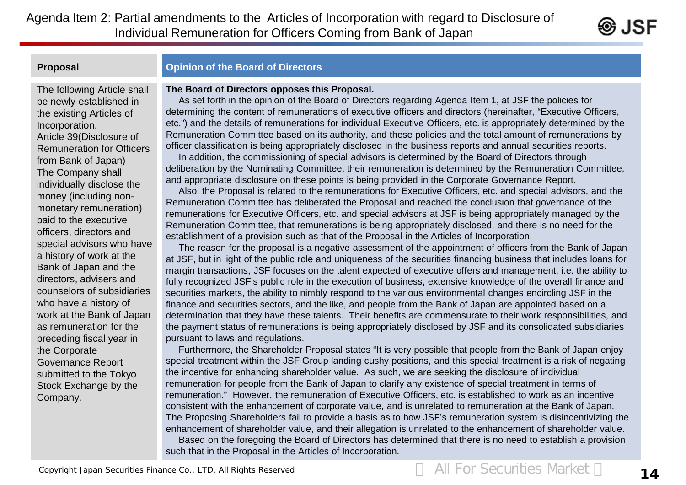Agenda Item 2: Partial amendments to the Articles of Incorporation with regard to Disclosure of Individual Remuneration for Officers Coming from Bank of Japan

# **Proposal Proposal Community Community** Opinion of the Board of Directors

# The following Article shall be newly established in the existing Articles of Incorporation. Article 39(Disclosure of Remuneration for Officers from Bank of Japan) The Company shall individually disclose the money (including nonmonetary remuneration) paid to the executive officers, directors and special advisors who have a history of work at the Bank of Japan and the directors, advisers and counselors of subsidiaries who have a history of work at the Bank of Japan as remuneration for the preceding fiscal year in the Corporate Governance Report submitted to the Tokyo Stock Exchange by the Company.

## **The Board of Directors opposes this Proposal.**

As set forth in the opinion of the Board of Directors regarding Agenda Item 1, at JSF the policies for determining the content of remunerations of executive officers and directors (hereinafter, "Executive Officers, etc.") and the details of remunerations for individual Executive Officers, etc. is appropriately determined by the Remuneration Committee based on its authority, and these policies and the total amount of remunerations by officer classification is being appropriately disclosed in the business reports and annual securities reports.

In addition, the commissioning of special advisors is determined by the Board of Directors through deliberation by the Nominating Committee, their remuneration is determined by the Remuneration Committee, and appropriate disclosure on these points is being provided in the Corporate Governance Report.

Also, the Proposal is related to the remunerations for Executive Officers, etc. and special advisors, and the Remuneration Committee has deliberated the Proposal and reached the conclusion that governance of the remunerations for Executive Officers, etc. and special advisors at JSF is being appropriately managed by the Remuneration Committee, that remunerations is being appropriately disclosed, and there is no need for the establishment of a provision such as that of the Proposal in the Articles of Incorporation.

The reason for the proposal is a negative assessment of the appointment of officers from the Bank of Japan at JSF, but in light of the public role and uniqueness of the securities financing business that includes loans for margin transactions, JSF focuses on the talent expected of executive offers and management, i.e. the ability to fully recognized JSF's public role in the execution of business, extensive knowledge of the overall finance and securities markets, the ability to nimbly respond to the various environmental changes encircling JSF in the finance and securities sectors, and the like, and people from the Bank of Japan are appointed based on a determination that they have these talents. Their benefits are commensurate to their work responsibilities, and the payment status of remunerations is being appropriately disclosed by JSF and its consolidated subsidiaries pursuant to laws and regulations.

Furthermore, the Shareholder Proposal states "It is very possible that people from the Bank of Japan enjoy special treatment within the JSF Group landing cushy positions, and this special treatment is a risk of negating the incentive for enhancing shareholder value. As such, we are seeking the disclosure of individual remuneration for people from the Bank of Japan to clarify any existence of special treatment in terms of remuneration." However, the remuneration of Executive Officers, etc. is established to work as an incentive consistent with the enhancement of corporate value, and is unrelated to remuneration at the Bank of Japan. The Proposing Shareholders fail to provide a basis as to how JSF's remuneration system is disincentivizing the enhancement of shareholder value, and their allegation is unrelated to the enhancement of shareholder value.

Based on the foregoing the Board of Directors has determined that there is no need to establish a provision such that in the Proposal in the Articles of Incorporation.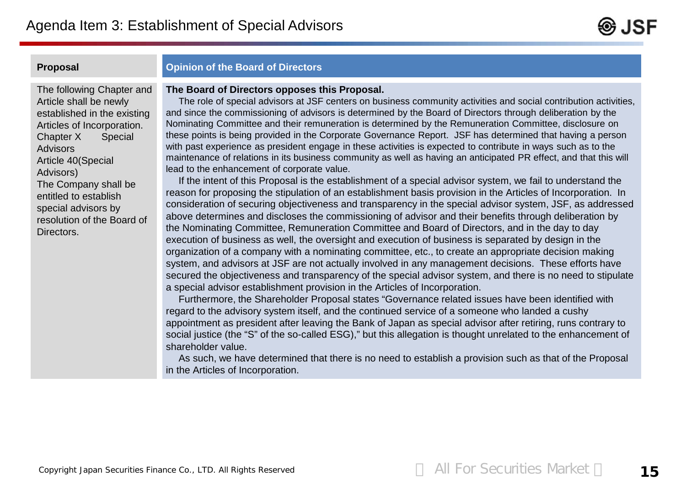

# **Proposal Proposal Community Community** Opinion of the Board of Directors

The following Chapter and Article shall be newly established in the existing Articles of Incorporation. Chapter X Special Advisors Article 40(Special Advisors) The Company shall be entitled to establish special advisors by resolution of the Board of Directors.

# **The Board of Directors opposes this Proposal.**

The role of special advisors at JSF centers on business community activities and social contribution activities, and since the commissioning of advisors is determined by the Board of Directors through deliberation by the Nominating Committee and their remuneration is determined by the Remuneration Committee, disclosure on these points is being provided in the Corporate Governance Report. JSF has determined that having a person with past experience as president engage in these activities is expected to contribute in ways such as to the maintenance of relations in its business community as well as having an anticipated PR effect, and that this will lead to the enhancement of corporate value.

If the intent of this Proposal is the establishment of a special advisor system, we fail to understand the reason for proposing the stipulation of an establishment basis provision in the Articles of Incorporation. In consideration of securing objectiveness and transparency in the special advisor system, JSF, as addressed above determines and discloses the commissioning of advisor and their benefits through deliberation by the Nominating Committee, Remuneration Committee and Board of Directors, and in the day to day execution of business as well, the oversight and execution of business is separated by design in the organization of a company with a nominating committee, etc., to create an appropriate decision making system, and advisors at JSF are not actually involved in any management decisions. These efforts have secured the objectiveness and transparency of the special advisor system, and there is no need to stipulate a special advisor establishment provision in the Articles of Incorporation.

Furthermore, the Shareholder Proposal states "Governance related issues have been identified with regard to the advisory system itself, and the continued service of a someone who landed a cushy appointment as president after leaving the Bank of Japan as special advisor after retiring, runs contrary to social justice (the "S" of the so-called ESG)," but this allegation is thought unrelated to the enhancement of shareholder value.

As such, we have determined that there is no need to establish a provision such as that of the Proposal in the Articles of Incorporation.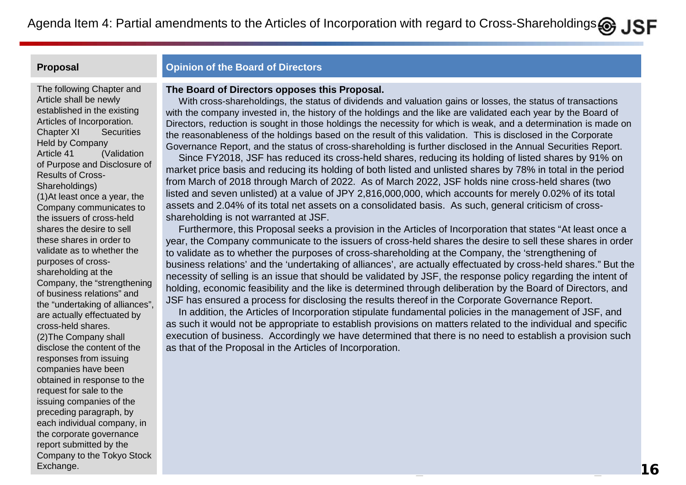# **Proposal Proposal Community Community** Opinion of the Board of Directors

The following Chapter and Article shall be newly established in the existing Articles of Incorporation. Chapter XI Securities Held by Company Article 41 (Validation of Purpose and Disclosure of Results of Cross-Shareholdings) (1)At least once a year, the Company communicates to the issuers of cross-held shares the desire to sell these shares in order to validate as to whether the purposes of crossshareholding at the Company, the "strengthening of business relations" and the "undertaking of alliances", are actually effectuated by cross-held shares. (2)The Company shall disclose the content of the responses from issuing

Exchange. The  $\sim 16$ companies have been obtained in response to the request for sale to the issuing companies of the preceding paragraph, by each individual company, in the corporate governance report submitted by the Company to the Tokyo Stock Exchange.

## **The Board of Directors opposes this Proposal.**

With cross-shareholdings, the status of dividends and valuation gains or losses, the status of transactions with the company invested in, the history of the holdings and the like are validated each year by the Board of Directors, reduction is sought in those holdings the necessity for which is weak, and a determination is made on the reasonableness of the holdings based on the result of this validation. This is disclosed in the Corporate Governance Report, and the status of cross-shareholding is further disclosed in the Annual Securities Report.

Since FY2018, JSF has reduced its cross-held shares, reducing its holding of listed shares by 91% on market price basis and reducing its holding of both listed and unlisted shares by 78% in total in the period from March of 2018 through March of 2022. As of March 2022, JSF holds nine cross-held shares (two listed and seven unlisted) at a value of JPY 2,816,000,000, which accounts for merely 0.02% of its total assets and 2.04% of its total net assets on a consolidated basis. As such, general criticism of crossshareholding is not warranted at JSF.

Furthermore, this Proposal seeks a provision in the Articles of Incorporation that states "At least once a year, the Company communicate to the issuers of cross-held shares the desire to sell these shares in order to validate as to whether the purposes of cross-shareholding at the Company, the 'strengthening of business relations' and the 'undertaking of alliances', are actually effectuated by cross-held shares." But the necessity of selling is an issue that should be validated by JSF, the response policy regarding the intent of holding, economic feasibility and the like is determined through deliberation by the Board of Directors, and JSF has ensured a process for disclosing the results thereof in the Corporate Governance Report.

In addition, the Articles of Incorporation stipulate fundamental policies in the management of JSF, and as such it would not be appropriate to establish provisions on matters related to the individual and specific execution of business. Accordingly we have determined that there is no need to establish a provision such as that of the Proposal in the Articles of Incorporation.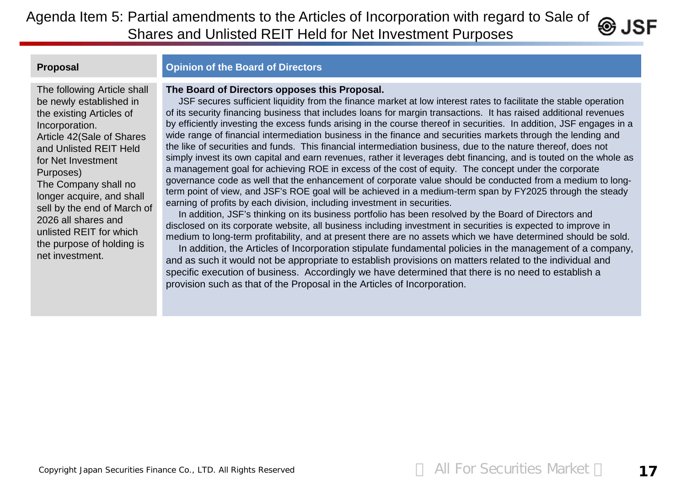Agenda Item 5: Partial amendments to the Articles of Incorporation with regard to Sale of  $\circledast$  JSF Shares and Unlisted REIT Held for Net Investment Purposes

# **Proposal Proposal Community Community** Opinion of the Board of Directors

**The Board of Directors opposes this Proposal.**

The following Article shall be newly established in the existing Articles of Incorporation. Article 42(Sale of Shares and Unlisted REIT Held for Net Investment Purposes)

The Company shall no longer acquire, and shall sell by the end of March of 2026 all shares and unlisted REIT for which the purpose of holding is net investment.

JSF secures sufficient liquidity from the finance market at low interest rates to facilitate the stable operation of its security financing business that includes loans for margin transactions. It has raised additional revenues by efficiently investing the excess funds arising in the course thereof in securities. In addition, JSF engages in a wide range of financial intermediation business in the finance and securities markets through the lending and the like of securities and funds. This financial intermediation business, due to the nature thereof, does not simply invest its own capital and earn revenues, rather it leverages debt financing, and is touted on the whole as a management goal for achieving ROE in excess of the cost of equity. The concept under the corporate governance code as well that the enhancement of corporate value should be conducted from a medium to longterm point of view, and JSF's ROE goal will be achieved in a medium-term span by FY2025 through the steady earning of profits by each division, including investment in securities.

In addition, JSF's thinking on its business portfolio has been resolved by the Board of Directors and disclosed on its corporate website, all business including investment in securities is expected to improve in medium to long-term profitability, and at present there are no assets which we have determined should be sold.

In addition, the Articles of Incorporation stipulate fundamental policies in the management of a company, and as such it would not be appropriate to establish provisions on matters related to the individual and specific execution of business. Accordingly we have determined that there is no need to establish a provision such as that of the Proposal in the Articles of Incorporation.